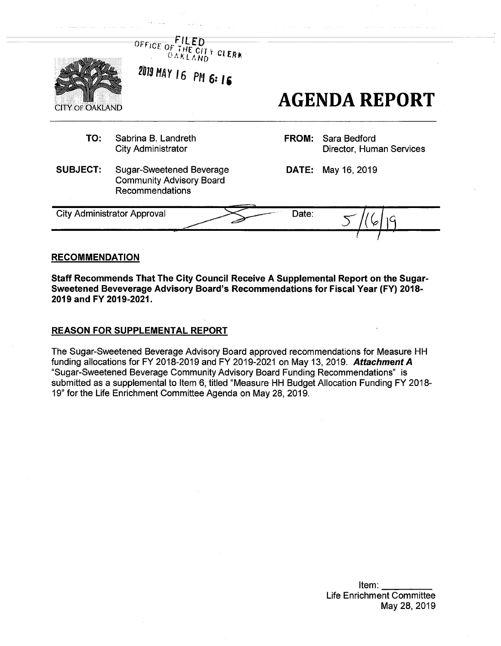|                        | OFFICE OF THE CITY CLERK<br>2019 MAY 16 PM 6:16                                       |              | <b>AGENDA REPORT</b>                     |
|------------------------|---------------------------------------------------------------------------------------|--------------|------------------------------------------|
| <b>CITY OF OAKLAND</b> |                                                                                       |              |                                          |
| TO:                    | Sabrina B. Landreth<br><b>City Administrator</b>                                      | <b>FROM:</b> | Sara Bedford<br>Director, Human Services |
| <b>SUBJECT:</b>        | <b>Sugar-Sweetened Beverage</b><br><b>Community Advisory Board</b><br>Recommendations |              | <b>DATE:</b> May 16, 2019                |
|                        | <b>City Administrator Approval</b>                                                    | Date:        |                                          |

### **RECOMMENDATION**

**Staff Recommends That The City Council Receive A Supplemental Report on the Sugar-Sweetened Beveverage Advisory Board's Recommendations for Fiscal Year (FY) 2018- 2019 and FY 2019-2021.**

## REASON FOR SUPPLEMENTAL REPORT

The Sugar-Sweetened Beverage Advisory Board approved recommendations for Measure HH funding allocations for FY 2018-2019 and FY 2019-2021 on May 13, 2019. *Attachment A* "Sugar-Sweetened Beverage Community Advisory Board Funding Recommendations" is submitted as a supplemental to Item 6, titled "Measure HH Budget Allocation Funding FY 2018- 19" for the Life Enrichment Committee Agenda on May 28, 2019.

> Item: Life Enrichment Committee May 28, 2019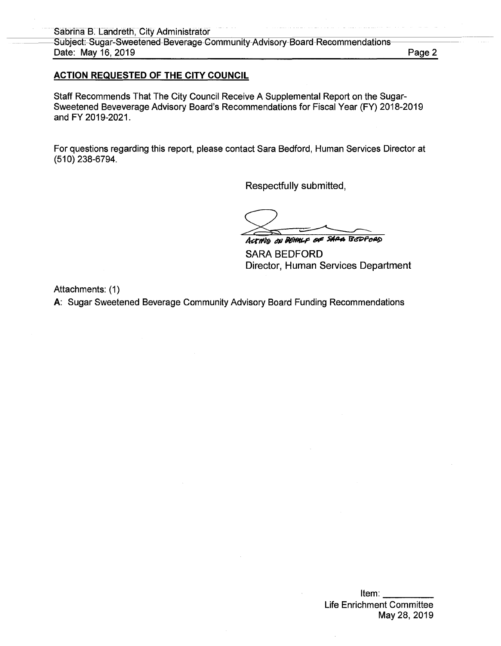## **ACTION REQUESTED OF THE CITY COUNCIL**

Staff Recommends That The City Council Receive A Supplemental Report on the Sugar-Sweetened Beveverage Advisory Board's Recommendations for Fiscal Year (FY) 2018-2019 and FY 2019-2021.

For questions regarding this report, please contact Sara Bedford, Human Services Director at (510) 238-6794.

Respectfully submitted,

*Acrfrt® at e\* trapped#*

SARA BEDFORD Director, Human Services Department

Attachments: (1)

A: Sugar Sweetened Beverage Community Advisory Board Funding Recommendations

Item: Life Enrichment Committee May 28, 2019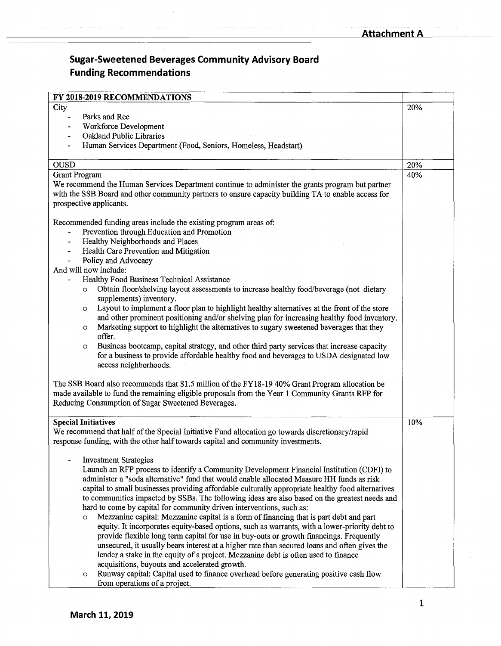| FY 2018-2019 RECOMMENDATIONS                                                                                                                                                                           |     |  |
|--------------------------------------------------------------------------------------------------------------------------------------------------------------------------------------------------------|-----|--|
| City                                                                                                                                                                                                   | 20% |  |
| Parks and Rec<br>$\blacksquare$                                                                                                                                                                        |     |  |
| Workforce Development                                                                                                                                                                                  |     |  |
| Oakland Public Libraries                                                                                                                                                                               |     |  |
| Human Services Department (Food, Seniors, Homeless, Headstart)                                                                                                                                         |     |  |
|                                                                                                                                                                                                        |     |  |
| <b>OUSD</b>                                                                                                                                                                                            | 20% |  |
| <b>Grant Program</b>                                                                                                                                                                                   | 40% |  |
| We recommend the Human Services Department continue to administer the grants program but partner                                                                                                       |     |  |
| with the SSB Board and other community partners to ensure capacity building TA to enable access for                                                                                                    |     |  |
| prospective applicants.                                                                                                                                                                                |     |  |
|                                                                                                                                                                                                        |     |  |
| Recommended funding areas include the existing program areas of:                                                                                                                                       |     |  |
| Prevention through Education and Promotion                                                                                                                                                             |     |  |
| Healthy Neighborhoods and Places                                                                                                                                                                       |     |  |
| Health Care Prevention and Mitigation<br>$\blacksquare$                                                                                                                                                |     |  |
| Policy and Advocacy                                                                                                                                                                                    |     |  |
| And will now include:                                                                                                                                                                                  |     |  |
| Healthy Food Business Technical Assistance                                                                                                                                                             |     |  |
| Obtain floor/shelving layout assessments to increase healthy food/beverage (not dietary<br>$\circ$                                                                                                     |     |  |
| supplements) inventory.                                                                                                                                                                                |     |  |
| Layout to implement a floor plan to highlight healthy alternatives at the front of the store<br>$\circ$<br>and other prominent positioning and/or shelving plan for increasing healthy food inventory. |     |  |
| Marketing support to highlight the alternatives to sugary sweetened beverages that they                                                                                                                |     |  |
| $\circ$<br>offer.                                                                                                                                                                                      |     |  |
| Business bootcamp, capital strategy, and other third party services that increase capacity<br>$\circ$                                                                                                  |     |  |
| for a business to provide affordable healthy food and beverages to USDA designated low                                                                                                                 |     |  |
| access neighborhoods.                                                                                                                                                                                  |     |  |
|                                                                                                                                                                                                        |     |  |
| The SSB Board also recommends that \$1.5 million of the FY18-19 40% Grant Program allocation be                                                                                                        |     |  |
| made available to fund the remaining eligible proposals from the Year 1 Community Grants RFP for                                                                                                       |     |  |
| Reducing Consumption of Sugar Sweetened Beverages.                                                                                                                                                     |     |  |
|                                                                                                                                                                                                        |     |  |
| <b>Special Initiatives</b>                                                                                                                                                                             | 10% |  |
| We recommend that half of the Special Initiative Fund allocation go towards discretionary/rapid                                                                                                        |     |  |
| response funding, with the other half towards capital and community investments.                                                                                                                       |     |  |
|                                                                                                                                                                                                        |     |  |
| <b>Investment Strategies</b>                                                                                                                                                                           |     |  |
| Launch an RFP process to identify a Community Development Financial Institution (CDFI) to                                                                                                              |     |  |
| administer a "soda alternative" fund that would enable allocated Measure HH funds as risk                                                                                                              |     |  |
| capital to small businesses providing affordable culturally appropriate healthy food alternatives                                                                                                      |     |  |
| to communities impacted by SSBs. The following ideas are also based on the greatest needs and                                                                                                          |     |  |
| hard to come by capital for community driven interventions, such as:                                                                                                                                   |     |  |
| Mezzanine capital: Mezzanine capital is a form of financing that is part debt and part<br>$\circ$                                                                                                      |     |  |
| equity. It incorporates equity-based options, such as warrants, with a lower-priority debt to                                                                                                          |     |  |
| provide flexible long term capital for use in buy-outs or growth financings. Frequently                                                                                                                |     |  |
| unsecured, it usually bears interest at a higher rate than secured loans and often gives the                                                                                                           |     |  |
| lender a stake in the equity of a project. Mezzanine debt is often used to finance                                                                                                                     |     |  |
| acquisitions, buyouts and accelerated growth.                                                                                                                                                          |     |  |
| Runway capital: Capital used to finance overhead before generating positive cash flow<br>$\circ$                                                                                                       |     |  |
| from operations of a project.                                                                                                                                                                          |     |  |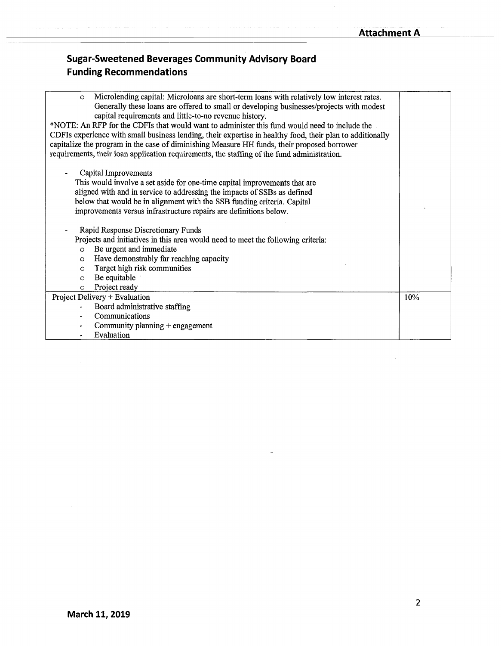| Microlending capital: Microloans are short-term loans with relatively low interest rates.<br>$\circ$      |     |
|-----------------------------------------------------------------------------------------------------------|-----|
| Generally these loans are offered to small or developing businesses/projects with modest                  |     |
| capital requirements and little-to-no revenue history.                                                    |     |
| *NOTE: An RFP for the CDFIs that would want to administer this fund would need to include the             |     |
| CDFIs experience with small business lending, their expertise in healthy food, their plan to additionally |     |
| capitalize the program in the case of diminishing Measure HH funds, their proposed borrower               |     |
| requirements, their loan application requirements, the staffing of the fund administration.               |     |
|                                                                                                           |     |
| Capital Improvements                                                                                      |     |
| This would involve a set aside for one-time capital improvements that are                                 |     |
| aligned with and in service to addressing the impacts of SSBs as defined                                  |     |
| below that would be in alignment with the SSB funding criteria. Capital                                   |     |
| improvements versus infrastructure repairs are definitions below.                                         |     |
|                                                                                                           |     |
| Rapid Response Discretionary Funds                                                                        |     |
| Projects and initiatives in this area would need to meet the following criteria:                          |     |
| Be urgent and immediate<br>$\circ$                                                                        |     |
| Have demonstrably far reaching capacity<br>$\circ$                                                        |     |
| Target high risk communities<br>$\circ$                                                                   |     |
| Be equitable<br>$\circ$                                                                                   |     |
| Project ready<br>$\circ$                                                                                  |     |
| Project Delivery + Evaluation                                                                             | 10% |
| Board administrative staffing                                                                             |     |
| Communications                                                                                            |     |
| Community planning + engagement                                                                           |     |
| Evaluation                                                                                                |     |
|                                                                                                           |     |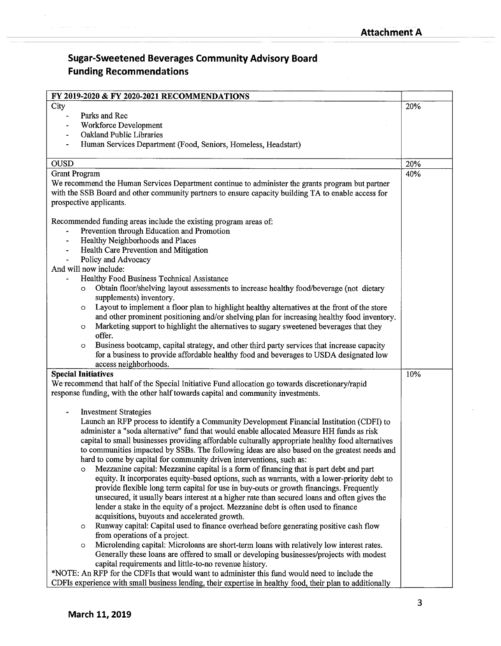| FY 2019-2020 & FY 2020-2021 RECOMMENDATIONS                                                                                                                                                  |     |
|----------------------------------------------------------------------------------------------------------------------------------------------------------------------------------------------|-----|
| City                                                                                                                                                                                         | 20% |
| Parks and Rec                                                                                                                                                                                |     |
| Workforce Development                                                                                                                                                                        |     |
| Oakland Public Libraries                                                                                                                                                                     |     |
| Human Services Department (Food, Seniors, Homeless, Headstart)                                                                                                                               |     |
| <b>OUSD</b>                                                                                                                                                                                  | 20% |
| <b>Grant Program</b>                                                                                                                                                                         | 40% |
| We recommend the Human Services Department continue to administer the grants program but partner                                                                                             |     |
| with the SSB Board and other community partners to ensure capacity building TA to enable access for                                                                                          |     |
| prospective applicants.                                                                                                                                                                      |     |
| Recommended funding areas include the existing program areas of:                                                                                                                             |     |
| Prevention through Education and Promotion                                                                                                                                                   |     |
| Healthy Neighborhoods and Places                                                                                                                                                             |     |
| Health Care Prevention and Mitigation<br>$\blacksquare$                                                                                                                                      |     |
| Policy and Advocacy<br>$\blacksquare$                                                                                                                                                        |     |
| And will now include:                                                                                                                                                                        |     |
| Healthy Food Business Technical Assistance                                                                                                                                                   |     |
| Obtain floor/shelving layout assessments to increase healthy food/beverage (not dietary<br>$\circ$                                                                                           |     |
| supplements) inventory.                                                                                                                                                                      |     |
| Layout to implement a floor plan to highlight healthy alternatives at the front of the store<br>$\circ$                                                                                      |     |
| and other prominent positioning and/or shelving plan for increasing healthy food inventory.                                                                                                  |     |
| Marketing support to highlight the alternatives to sugary sweetened beverages that they<br>$\circ$                                                                                           |     |
| offer.                                                                                                                                                                                       |     |
| Business bootcamp, capital strategy, and other third party services that increase capacity<br>$\circ$                                                                                        |     |
| for a business to provide affordable healthy food and beverages to USDA designated low<br>access neighborhoods.                                                                              |     |
| <b>Special Initiatives</b>                                                                                                                                                                   | 10% |
| We recommend that half of the Special Initiative Fund allocation go towards discretionary/rapid                                                                                              |     |
| response funding, with the other half towards capital and community investments.                                                                                                             |     |
|                                                                                                                                                                                              |     |
| <b>Investment Strategies</b>                                                                                                                                                                 |     |
| Launch an RFP process to identify a Community Development Financial Institution (CDFI) to                                                                                                    |     |
| administer a "soda alternative" fund that would enable allocated Measure HH funds as risk                                                                                                    |     |
| capital to small businesses providing affordable culturally appropriate healthy food alternatives                                                                                            |     |
| to communities impacted by SSBs. The following ideas are also based on the greatest needs and                                                                                                |     |
| hard to come by capital for community driven interventions, such as:                                                                                                                         |     |
| Mezzanine capital: Mezzanine capital is a form of financing that is part debt and part<br>O<br>equity. It incorporates equity-based options, such as warrants, with a lower-priority debt to |     |
| provide flexible long term capital for use in buy-outs or growth financings. Frequently                                                                                                      |     |
| unsecured, it usually bears interest at a higher rate than secured loans and often gives the                                                                                                 |     |
| lender a stake in the equity of a project. Mezzanine debt is often used to finance                                                                                                           |     |
| acquisitions, buyouts and accelerated growth.                                                                                                                                                |     |
| Runway capital: Capital used to finance overhead before generating positive cash flow<br>$\circ$                                                                                             |     |
| from operations of a project.                                                                                                                                                                |     |
| Microlending capital: Microloans are short-term loans with relatively low interest rates.<br>$\circ$                                                                                         |     |
| Generally these loans are offered to small or developing businesses/projects with modest                                                                                                     |     |
| capital requirements and little-to-no revenue history.                                                                                                                                       |     |
| *NOTE: An RFP for the CDFIs that would want to administer this fund would need to include the                                                                                                |     |
| CDFIs experience with small business lending, their expertise in healthy food, their plan to additionally                                                                                    |     |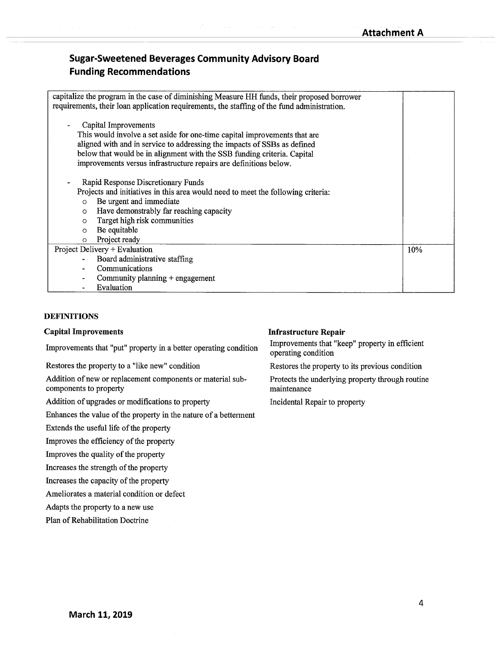| capitalize the program in the case of diminishing Measure HH funds, their proposed borrower<br>requirements, their loan application requirements, the staffing of the fund administration.                                                                                                                                    |     |
|-------------------------------------------------------------------------------------------------------------------------------------------------------------------------------------------------------------------------------------------------------------------------------------------------------------------------------|-----|
| Capital Improvements<br>This would involve a set aside for one-time capital improvements that are<br>aligned with and in service to addressing the impacts of SSBs as defined<br>below that would be in alignment with the SSB funding criteria. Capital<br>improvements versus infrastructure repairs are definitions below. |     |
| Rapid Response Discretionary Funds<br>Projects and initiatives in this area would need to meet the following criteria:<br>Be urgent and immediate<br>$\circ$<br>Have demonstrably far reaching capacity<br>$\circ$<br>Target high risk communities<br>$\Omega$<br>Be equitable<br>$\circ$<br>Project ready<br>$\circ$         |     |
| Project Delivery + Evaluation<br>Board administrative staffing<br>Communications<br>Community planning + engagement<br>Evaluation                                                                                                                                                                                             | 10% |

## **DEFINITIONS**

#### **Capital Improvements**

Improvements that "put" property in a better operating condition

Restores the property to a "like new" condition

Addition of new or replacement components or material subcomponents to property

Addition of upgrades or modifications to property

Enhances the value of the property in the nature of a betterment

Extends the useful life of the property

Improves the efficiency of the property

Improves the quality of the property

Increases the strength of the property

Increases the capacity of the property

Ameliorates a material condition or defect

Adapts the property to a new use

Plan of Rehabilitation Doctrine

#### **Infrastructure Repair**

Improvements that "keep" property in efficient operating condition

Restores the property to its previous condition

Protects the underlying property through routine maintenance

Incidental Repair to property